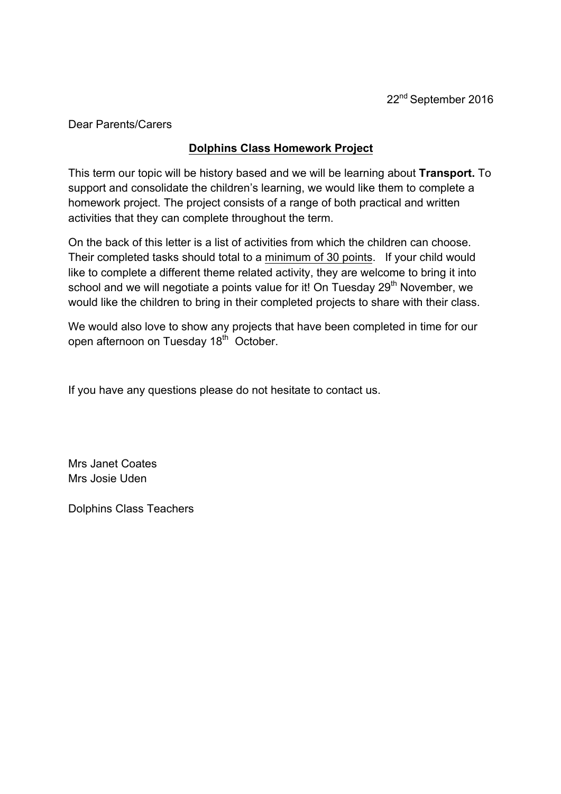Dear Parents/Carers

## **Dolphins Class Homework Project**

This term our topic will be history based and we will be learning about **Transport.** To support and consolidate the children's learning, we would like them to complete a homework project. The project consists of a range of both practical and written activities that they can complete throughout the term.

On the back of this letter is a list of activities from which the children can choose. Their completed tasks should total to a minimum of 30 points. If your child would like to complete a different theme related activity, they are welcome to bring it into school and we will negotiate a points value for it! On Tuesday  $29<sup>th</sup>$  November, we would like the children to bring in their completed projects to share with their class.

We would also love to show any projects that have been completed in time for our open afternoon on Tuesday 18<sup>th</sup> October.

If you have any questions please do not hesitate to contact us.

Mrs Janet Coates Mrs Josie Uden

Dolphins Class Teachers